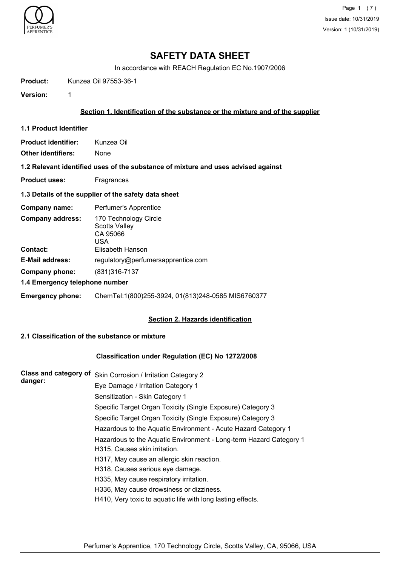

Page 1 (7) Issue date: 10/31/2019 Version: 1 (10/31/2019)

# **SAFETY DATA SHEET**

In accordance with REACH Regulation EC No.1907/2006

**Product:** Kunzea Oil 97553-36-1

**Version:** 1

## **Section 1. Identification of the substance or the mixture and of the supplier**

**1.1 Product Identifier**

**Product identifier:** Kunzea Oil

**Other identifiers:** None

**1.2 Relevant identified uses of the substance of mixture and uses advised against**

**Product uses:** Fragrances

#### **1.3 Details of the supplier of the safety data sheet**

| Company name:                              | Perfumer's Apprentice                                                                |  |
|--------------------------------------------|--------------------------------------------------------------------------------------|--|
| <b>Company address:</b><br><b>Contact:</b> | 170 Technology Circle<br><b>Scotts Valley</b><br>CA 95066<br>USA<br>Elisabeth Hanson |  |
| <b>E-Mail address:</b>                     | regulatory@perfumersapprentice.com                                                   |  |
| Company phone:                             | (831)316-7137                                                                        |  |
| 1.4 Emergency telephone number             |                                                                                      |  |
| <b>Emergency phone:</b>                    | ChemTel:1(800)255-3924, 01(813)248-0585 MIS6760377                                   |  |

#### **Section 2. Hazards identification**

## **2.1 Classification of the substance or mixture**

## **Classification under Regulation (EC) No 1272/2008**

| <b>Class and category of</b><br>danger: | Skin Corrosion / Irritation Category 2                             |
|-----------------------------------------|--------------------------------------------------------------------|
|                                         | Eye Damage / Irritation Category 1                                 |
|                                         | Sensitization - Skin Category 1                                    |
|                                         | Specific Target Organ Toxicity (Single Exposure) Category 3        |
|                                         | Specific Target Organ Toxicity (Single Exposure) Category 3        |
|                                         | Hazardous to the Aquatic Environment - Acute Hazard Category 1     |
|                                         | Hazardous to the Aquatic Environment - Long-term Hazard Category 1 |
|                                         | H315, Causes skin irritation.                                      |
|                                         | H317, May cause an allergic skin reaction.                         |
|                                         | H318, Causes serious eye damage.                                   |
|                                         | H335, May cause respiratory irritation.                            |
|                                         | H336, May cause drowsiness or dizziness.                           |
|                                         | H410, Very toxic to aquatic life with long lasting effects.        |
|                                         |                                                                    |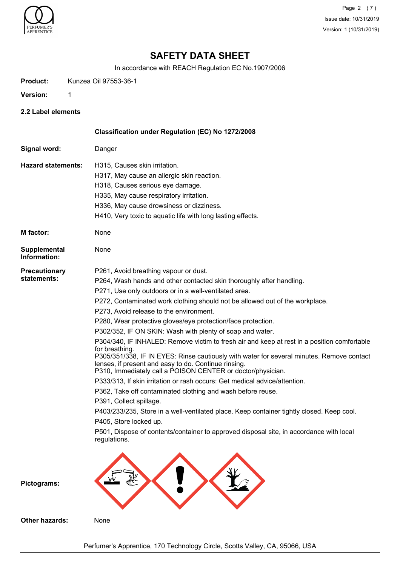

Page 2 (7) Issue date: 10/31/2019 Version: 1 (10/31/2019)

# **SAFETY DATA SHEET**

In accordance with REACH Regulation EC No.1907/2006

**Product:** Kunzea Oil 97553-36-1

**Version:** 1

**2.2 Label elements**

|                                     | Classification under Regulation (EC) No 1272/2008                                                                                                                                                                                                                                                                                                                                                                                                                                                                                                                                                                                                                                                                                                                                                                                                                                                                                                                                                                                                                                                                                                                             |
|-------------------------------------|-------------------------------------------------------------------------------------------------------------------------------------------------------------------------------------------------------------------------------------------------------------------------------------------------------------------------------------------------------------------------------------------------------------------------------------------------------------------------------------------------------------------------------------------------------------------------------------------------------------------------------------------------------------------------------------------------------------------------------------------------------------------------------------------------------------------------------------------------------------------------------------------------------------------------------------------------------------------------------------------------------------------------------------------------------------------------------------------------------------------------------------------------------------------------------|
| Signal word:                        | Danger                                                                                                                                                                                                                                                                                                                                                                                                                                                                                                                                                                                                                                                                                                                                                                                                                                                                                                                                                                                                                                                                                                                                                                        |
| <b>Hazard statements:</b>           | H315, Causes skin irritation.<br>H317, May cause an allergic skin reaction.<br>H318, Causes serious eye damage.<br>H335, May cause respiratory irritation.<br>H336, May cause drowsiness or dizziness.<br>H410, Very toxic to aquatic life with long lasting effects.                                                                                                                                                                                                                                                                                                                                                                                                                                                                                                                                                                                                                                                                                                                                                                                                                                                                                                         |
| <b>M</b> factor:                    | None                                                                                                                                                                                                                                                                                                                                                                                                                                                                                                                                                                                                                                                                                                                                                                                                                                                                                                                                                                                                                                                                                                                                                                          |
| Supplemental<br>Information:        | None                                                                                                                                                                                                                                                                                                                                                                                                                                                                                                                                                                                                                                                                                                                                                                                                                                                                                                                                                                                                                                                                                                                                                                          |
| <b>Precautionary</b><br>statements: | P261, Avoid breathing vapour or dust.<br>P264, Wash hands and other contacted skin thoroughly after handling.<br>P271, Use only outdoors or in a well-ventilated area.<br>P272, Contaminated work clothing should not be allowed out of the workplace.<br>P273, Avoid release to the environment.<br>P280, Wear protective gloves/eye protection/face protection.<br>P302/352, IF ON SKIN: Wash with plenty of soap and water.<br>P304/340, IF INHALED: Remove victim to fresh air and keep at rest in a position comfortable<br>for breathing.<br>P305/351/338, IF IN EYES: Rinse cautiously with water for several minutes. Remove contact<br>lenses, if present and easy to do. Continue rinsing.<br>P310, Immediately call a POISON CENTER or doctor/physician.<br>P333/313, If skin irritation or rash occurs: Get medical advice/attention.<br>P362, Take off contaminated clothing and wash before reuse.<br>P391, Collect spillage.<br>P403/233/235, Store in a well-ventilated place. Keep container tightly closed. Keep cool.<br>P405, Store locked up.<br>P501, Dispose of contents/container to approved disposal site, in accordance with local<br>regulations. |
| Pictograms:                         |                                                                                                                                                                                                                                                                                                                                                                                                                                                                                                                                                                                                                                                                                                                                                                                                                                                                                                                                                                                                                                                                                                                                                                               |
| Other hazards:                      | None                                                                                                                                                                                                                                                                                                                                                                                                                                                                                                                                                                                                                                                                                                                                                                                                                                                                                                                                                                                                                                                                                                                                                                          |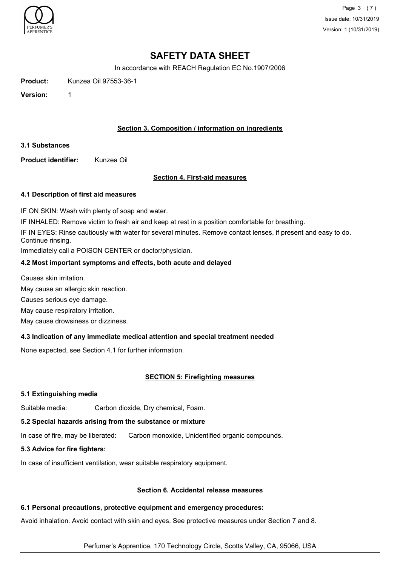

Page 3 (7) Issue date: 10/31/2019 Version: 1 (10/31/2019)

# **SAFETY DATA SHEET**

In accordance with REACH Regulation EC No.1907/2006

**Product:** Kunzea Oil 97553-36-1

**Version:** 1

## **Section 3. Composition / information on ingredients**

## **3.1 Substances**

**Product identifier:** Kunzea Oil

## **Section 4. First-aid measures**

## **4.1 Description of first aid measures**

IF ON SKIN: Wash with plenty of soap and water.

IF INHALED: Remove victim to fresh air and keep at rest in a position comfortable for breathing.

IF IN EYES: Rinse cautiously with water for several minutes. Remove contact lenses, if present and easy to do. Continue rinsing.

Immediately call a POISON CENTER or doctor/physician.

# **4.2 Most important symptoms and effects, both acute and delayed**

Causes skin irritation.

May cause an allergic skin reaction.

Causes serious eye damage.

May cause respiratory irritation.

May cause drowsiness or dizziness.

## **4.3 Indication of any immediate medical attention and special treatment needed**

None expected, see Section 4.1 for further information.

## **SECTION 5: Firefighting measures**

## **5.1 Extinguishing media**

Suitable media: Carbon dioxide, Dry chemical, Foam.

## **5.2 Special hazards arising from the substance or mixture**

In case of fire, may be liberated: Carbon monoxide, Unidentified organic compounds.

## **5.3 Advice for fire fighters:**

In case of insufficient ventilation, wear suitable respiratory equipment.

#### **Section 6. Accidental release measures**

## **6.1 Personal precautions, protective equipment and emergency procedures:**

Avoid inhalation. Avoid contact with skin and eyes. See protective measures under Section 7 and 8.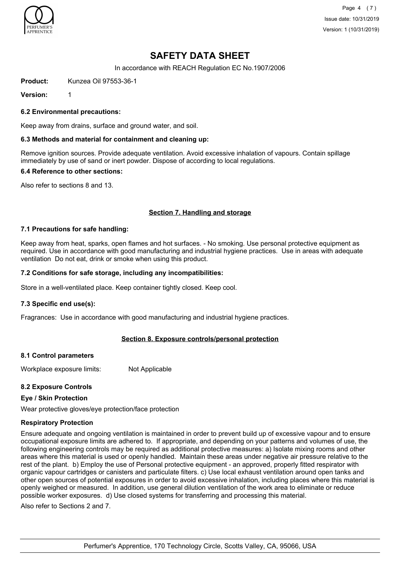

Page 4 (7) Issue date: 10/31/2019 Version: 1 (10/31/2019)

# **SAFETY DATA SHEET**

In accordance with REACH Regulation EC No.1907/2006

**Product:** Kunzea Oil 97553-36-1

**Version:** 1

**6.2 Environmental precautions:**

Keep away from drains, surface and ground water, and soil.

### **6.3 Methods and material for containment and cleaning up:**

Remove ignition sources. Provide adequate ventilation. Avoid excessive inhalation of vapours. Contain spillage immediately by use of sand or inert powder. Dispose of according to local regulations.

#### **6.4 Reference to other sections:**

Also refer to sections 8 and 13.

## **Section 7. Handling and storage**

#### **7.1 Precautions for safe handling:**

Keep away from heat, sparks, open flames and hot surfaces. - No smoking. Use personal protective equipment as required. Use in accordance with good manufacturing and industrial hygiene practices. Use in areas with adequate ventilation Do not eat, drink or smoke when using this product.

## **7.2 Conditions for safe storage, including any incompatibilities:**

Store in a well-ventilated place. Keep container tightly closed. Keep cool.

#### **7.3 Specific end use(s):**

Fragrances: Use in accordance with good manufacturing and industrial hygiene practices.

#### **Section 8. Exposure controls/personal protection**

#### **8.1 Control parameters**

Workplace exposure limits: Not Applicable

#### **8.2 Exposure Controls**

#### **Eye / Skin Protection**

Wear protective gloves/eye protection/face protection

### **Respiratory Protection**

Ensure adequate and ongoing ventilation is maintained in order to prevent build up of excessive vapour and to ensure occupational exposure limits are adhered to. If appropriate, and depending on your patterns and volumes of use, the following engineering controls may be required as additional protective measures: a) Isolate mixing rooms and other areas where this material is used or openly handled. Maintain these areas under negative air pressure relative to the rest of the plant. b) Employ the use of Personal protective equipment - an approved, properly fitted respirator with organic vapour cartridges or canisters and particulate filters. c) Use local exhaust ventilation around open tanks and other open sources of potential exposures in order to avoid excessive inhalation, including places where this material is openly weighed or measured. In addition, use general dilution ventilation of the work area to eliminate or reduce possible worker exposures. d) Use closed systems for transferring and processing this material.

Also refer to Sections 2 and 7.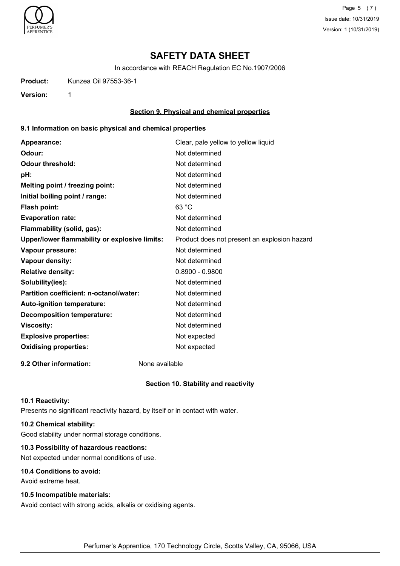

Page 5 (7) Issue date: 10/31/2019 Version: 1 (10/31/2019)

# **SAFETY DATA SHEET**

In accordance with REACH Regulation EC No.1907/2006

**Product:** Kunzea Oil 97553-36-1

**Version:** 1

## **Section 9. Physical and chemical properties**

## **9.1 Information on basic physical and chemical properties**

| Appearance:                                   | Clear, pale yellow to yellow liquid          |
|-----------------------------------------------|----------------------------------------------|
| Odour:                                        | Not determined                               |
| <b>Odour threshold:</b>                       | Not determined                               |
| pH:                                           | Not determined                               |
| Melting point / freezing point:               | Not determined                               |
| Initial boiling point / range:                | Not determined                               |
| <b>Flash point:</b>                           | 63 °C                                        |
| <b>Evaporation rate:</b>                      | Not determined                               |
| Flammability (solid, gas):                    | Not determined                               |
| Upper/lower flammability or explosive limits: | Product does not present an explosion hazard |
| Vapour pressure:                              | Not determined                               |
| <b>Vapour density:</b>                        | Not determined                               |
| <b>Relative density:</b>                      | $0.8900 - 0.9800$                            |
| Solubility(ies):                              | Not determined                               |
| Partition coefficient: n-octanol/water:       | Not determined                               |
| Auto-ignition temperature:                    | Not determined                               |
| <b>Decomposition temperature:</b>             | Not determined                               |
| <b>Viscosity:</b>                             | Not determined                               |
| <b>Explosive properties:</b>                  | Not expected                                 |
| <b>Oxidising properties:</b>                  | Not expected                                 |
|                                               |                                              |

**9.2 Other information:** None available

## **Section 10. Stability and reactivity**

#### **10.1 Reactivity:**

Presents no significant reactivity hazard, by itself or in contact with water.

## **10.2 Chemical stability:**

Good stability under normal storage conditions.

## **10.3 Possibility of hazardous reactions:**

Not expected under normal conditions of use.

## **10.4 Conditions to avoid:**

Avoid extreme heat.

#### **10.5 Incompatible materials:**

Avoid contact with strong acids, alkalis or oxidising agents.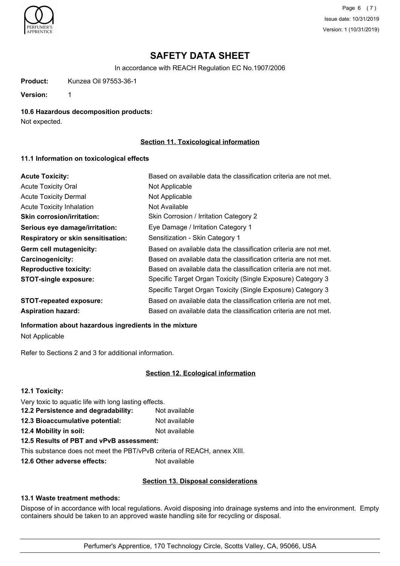

Page 6 (7) Issue date: 10/31/2019 Version: 1 (10/31/2019)

# **SAFETY DATA SHEET**

In accordance with REACH Regulation EC No.1907/2006

**Product:** Kunzea Oil 97553-36-1

**Version:** 1

**10.6 Hazardous decomposition products:**

Not expected.

## **Section 11. Toxicological information**

## **11.1 Information on toxicological effects**

| <b>Acute Toxicity:</b>                    | Based on available data the classification criteria are not met. |
|-------------------------------------------|------------------------------------------------------------------|
| <b>Acute Toxicity Oral</b>                | Not Applicable                                                   |
| <b>Acute Toxicity Dermal</b>              | Not Applicable                                                   |
| <b>Acute Toxicity Inhalation</b>          | Not Available                                                    |
| <b>Skin corrosion/irritation:</b>         | Skin Corrosion / Irritation Category 2                           |
| Serious eye damage/irritation:            | Eye Damage / Irritation Category 1                               |
| <b>Respiratory or skin sensitisation:</b> | Sensitization - Skin Category 1                                  |
| Germ cell mutagenicity:                   | Based on available data the classification criteria are not met. |
| <b>Carcinogenicity:</b>                   | Based on available data the classification criteria are not met. |
| <b>Reproductive toxicity:</b>             | Based on available data the classification criteria are not met. |
| <b>STOT-single exposure:</b>              | Specific Target Organ Toxicity (Single Exposure) Category 3      |
|                                           | Specific Target Organ Toxicity (Single Exposure) Category 3      |
| <b>STOT-repeated exposure:</b>            | Based on available data the classification criteria are not met. |
| <b>Aspiration hazard:</b>                 | Based on available data the classification criteria are not met. |

## **Information about hazardous ingredients in the mixture**

Not Applicable

Refer to Sections 2 and 3 for additional information.

## **Section 12. Ecological information**

| 12.1 Toxicity:                                                           |               |  |
|--------------------------------------------------------------------------|---------------|--|
| Very toxic to aquatic life with long lasting effects.                    |               |  |
| 12.2 Persistence and degradability:                                      | Not available |  |
| 12.3 Bioaccumulative potential:                                          | Not available |  |
| 12.4 Mobility in soil:                                                   | Not available |  |
| 12.5 Results of PBT and vPvB assessment:                                 |               |  |
| This substance does not meet the PBT/vPvB criteria of REACH, annex XIII. |               |  |
|                                                                          |               |  |

**12.6 Other adverse effects:** Not available

## **Section 13. Disposal considerations**

# **13.1 Waste treatment methods:**

Dispose of in accordance with local regulations. Avoid disposing into drainage systems and into the environment. Empty containers should be taken to an approved waste handling site for recycling or disposal.